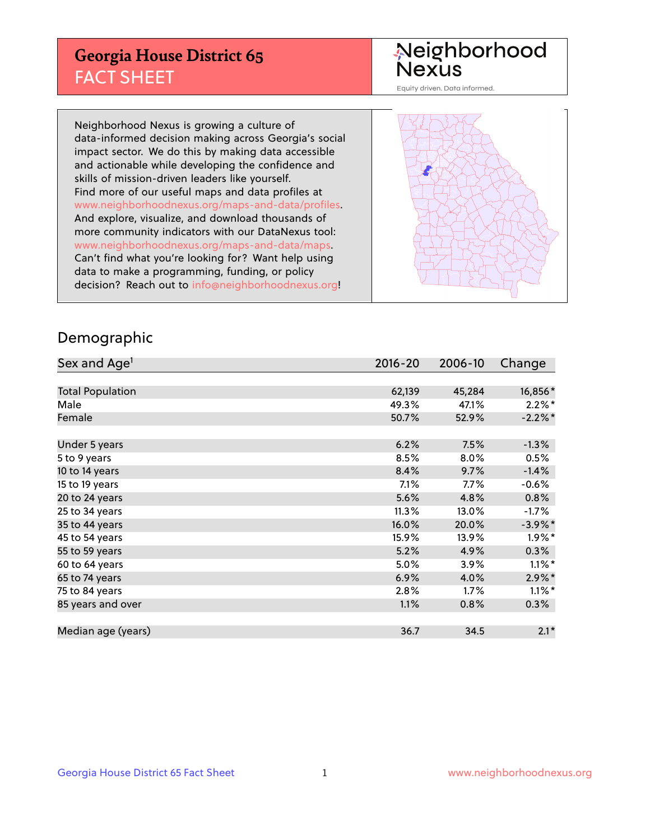## **Georgia House District 65** FACT SHEET

# Neighborhood<br>Nexus

Equity driven. Data informed.

Neighborhood Nexus is growing a culture of data-informed decision making across Georgia's social impact sector. We do this by making data accessible and actionable while developing the confidence and skills of mission-driven leaders like yourself. Find more of our useful maps and data profiles at www.neighborhoodnexus.org/maps-and-data/profiles. And explore, visualize, and download thousands of more community indicators with our DataNexus tool: www.neighborhoodnexus.org/maps-and-data/maps. Can't find what you're looking for? Want help using data to make a programming, funding, or policy decision? Reach out to [info@neighborhoodnexus.org!](mailto:info@neighborhoodnexus.org)



### Demographic

| Sex and Age <sup>1</sup> | $2016 - 20$ | 2006-10 | Change               |
|--------------------------|-------------|---------|----------------------|
|                          |             |         |                      |
| <b>Total Population</b>  | 62,139      | 45,284  | 16,856*              |
| Male                     | 49.3%       | 47.1%   | $2.2\%$ *            |
| Female                   | 50.7%       | 52.9%   | $-2.2\%$ *           |
|                          |             |         |                      |
| Under 5 years            | 6.2%        | 7.5%    | $-1.3%$              |
| 5 to 9 years             | 8.5%        | 8.0%    | 0.5%                 |
| 10 to 14 years           | 8.4%        | 9.7%    | $-1.4%$              |
| 15 to 19 years           | 7.1%        | $7.7\%$ | $-0.6%$              |
| 20 to 24 years           | 5.6%        | 4.8%    | 0.8%                 |
| 25 to 34 years           | 11.3%       | 13.0%   | $-1.7\%$             |
| 35 to 44 years           | 16.0%       | 20.0%   | $-3.9\%$ *           |
| 45 to 54 years           | 15.9%       | 13.9%   | $1.9\%$ *            |
| 55 to 59 years           | 5.2%        | 4.9%    | 0.3%                 |
| 60 to 64 years           | 5.0%        | 3.9%    | $1.1\%$ <sup>*</sup> |
| 65 to 74 years           | 6.9%        | 4.0%    | $2.9\%$ *            |
| 75 to 84 years           | 2.8%        | 1.7%    | $1.1\%$ *            |
| 85 years and over        | 1.1%        | 0.8%    | 0.3%                 |
|                          |             |         |                      |
| Median age (years)       | 36.7        | 34.5    | $2.1*$               |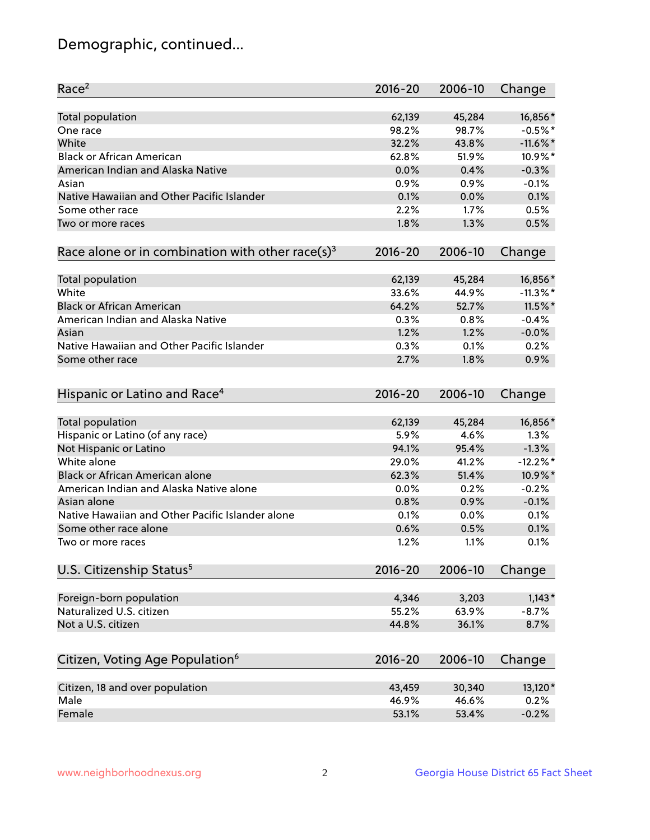## Demographic, continued...

| Race <sup>2</sup>                                            | $2016 - 20$ | 2006-10 | Change      |
|--------------------------------------------------------------|-------------|---------|-------------|
| <b>Total population</b>                                      | 62,139      | 45,284  | 16,856*     |
| One race                                                     | 98.2%       | 98.7%   | $-0.5%$ *   |
| White                                                        | 32.2%       | 43.8%   | $-11.6\%$ * |
| <b>Black or African American</b>                             | 62.8%       | 51.9%   | 10.9%*      |
| American Indian and Alaska Native                            | 0.0%        | 0.4%    | $-0.3%$     |
| Asian                                                        | 0.9%        | 0.9%    | $-0.1%$     |
| Native Hawaiian and Other Pacific Islander                   | 0.1%        | 0.0%    | 0.1%        |
| Some other race                                              | 2.2%        | 1.7%    | 0.5%        |
| Two or more races                                            | 1.8%        | 1.3%    | 0.5%        |
| Race alone or in combination with other race(s) <sup>3</sup> | $2016 - 20$ | 2006-10 | Change      |
| Total population                                             | 62,139      | 45,284  | 16,856*     |
| White                                                        | 33.6%       | 44.9%   | $-11.3\%$ * |
| <b>Black or African American</b>                             | 64.2%       | 52.7%   | 11.5%*      |
| American Indian and Alaska Native                            | 0.3%        | 0.8%    | $-0.4%$     |
| Asian                                                        | 1.2%        | 1.2%    | $-0.0%$     |
| Native Hawaiian and Other Pacific Islander                   | 0.3%        | 0.1%    | 0.2%        |
| Some other race                                              | 2.7%        | 1.8%    | 0.9%        |
|                                                              |             |         |             |
| Hispanic or Latino and Race <sup>4</sup>                     | $2016 - 20$ | 2006-10 | Change      |
| <b>Total population</b>                                      | 62,139      | 45,284  | 16,856*     |
| Hispanic or Latino (of any race)                             | 5.9%        | 4.6%    | 1.3%        |
| Not Hispanic or Latino                                       | 94.1%       | 95.4%   | $-1.3%$     |
| White alone                                                  | 29.0%       | 41.2%   | $-12.2%$    |
| <b>Black or African American alone</b>                       | 62.3%       | 51.4%   | 10.9%*      |
| American Indian and Alaska Native alone                      | 0.0%        | 0.2%    | $-0.2%$     |
| Asian alone                                                  | 0.8%        | 0.9%    | $-0.1%$     |
| Native Hawaiian and Other Pacific Islander alone             | 0.1%        | 0.0%    | 0.1%        |
| Some other race alone                                        | 0.6%        | 0.5%    | 0.1%        |
| Two or more races                                            | 1.2%        | 1.1%    | 0.1%        |
| U.S. Citizenship Status <sup>5</sup>                         | $2016 - 20$ | 2006-10 | Change      |
|                                                              |             |         |             |
| Foreign-born population                                      | 4,346       | 3,203   | $1,143*$    |
| Naturalized U.S. citizen                                     | 55.2%       | 63.9%   | $-8.7%$     |
| Not a U.S. citizen                                           | 44.8%       | 36.1%   | 8.7%        |
| Citizen, Voting Age Population <sup>6</sup>                  | $2016 - 20$ | 2006-10 | Change      |
| Citizen, 18 and over population                              | 43,459      | 30,340  | 13,120*     |
| Male                                                         | 46.9%       | 46.6%   | 0.2%        |
| Female                                                       | 53.1%       | 53.4%   | $-0.2%$     |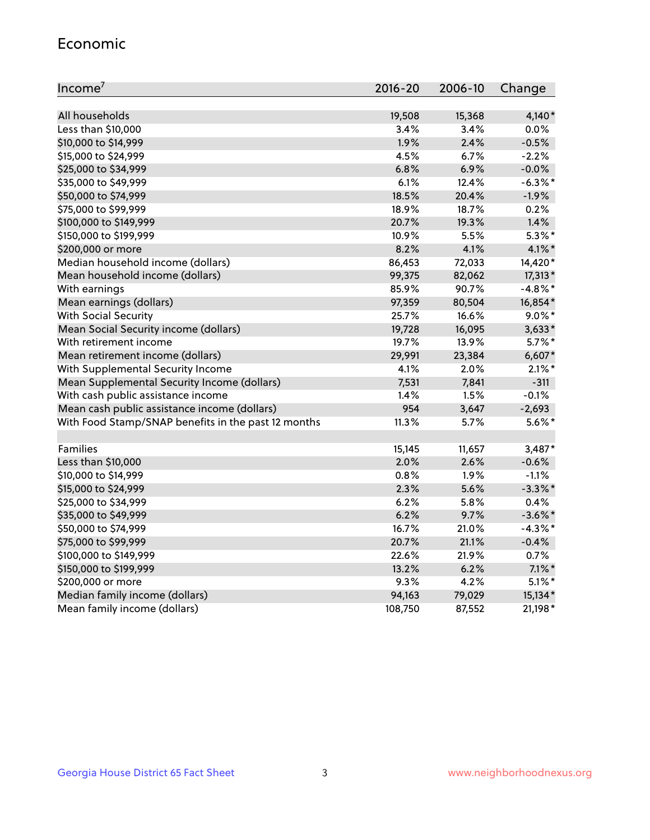#### Economic

| Income <sup>7</sup>                                 | $2016 - 20$ | 2006-10 | Change     |
|-----------------------------------------------------|-------------|---------|------------|
|                                                     |             |         |            |
| All households                                      | 19,508      | 15,368  | $4,140*$   |
| Less than \$10,000                                  | 3.4%        | 3.4%    | 0.0%       |
| \$10,000 to \$14,999                                | 1.9%        | 2.4%    | $-0.5%$    |
| \$15,000 to \$24,999                                | 4.5%        | 6.7%    | $-2.2%$    |
| \$25,000 to \$34,999                                | 6.8%        | 6.9%    | $-0.0%$    |
| \$35,000 to \$49,999                                | 6.1%        | 12.4%   | $-6.3\%$ * |
| \$50,000 to \$74,999                                | 18.5%       | 20.4%   | $-1.9%$    |
| \$75,000 to \$99,999                                | 18.9%       | 18.7%   | 0.2%       |
| \$100,000 to \$149,999                              | 20.7%       | 19.3%   | 1.4%       |
| \$150,000 to \$199,999                              | 10.9%       | 5.5%    | $5.3\%$ *  |
| \$200,000 or more                                   | 8.2%        | 4.1%    | 4.1%*      |
| Median household income (dollars)                   | 86,453      | 72,033  | 14,420*    |
| Mean household income (dollars)                     | 99,375      | 82,062  | $17,313*$  |
| With earnings                                       | 85.9%       | 90.7%   | $-4.8\%$ * |
| Mean earnings (dollars)                             | 97,359      | 80,504  | 16,854*    |
| <b>With Social Security</b>                         | 25.7%       | 16.6%   | $9.0\%$ *  |
| Mean Social Security income (dollars)               | 19,728      | 16,095  | $3,633*$   |
| With retirement income                              | 19.7%       | 13.9%   | $5.7\%$ *  |
| Mean retirement income (dollars)                    | 29,991      | 23,384  | $6,607*$   |
| With Supplemental Security Income                   | 4.1%        | 2.0%    | $2.1\%$ *  |
| Mean Supplemental Security Income (dollars)         | 7,531       | 7,841   | $-311$     |
| With cash public assistance income                  | 1.4%        | 1.5%    | $-0.1%$    |
| Mean cash public assistance income (dollars)        | 954         | 3,647   | $-2,693$   |
| With Food Stamp/SNAP benefits in the past 12 months | 11.3%       | 5.7%    | $5.6\%$ *  |
|                                                     |             |         |            |
| Families                                            | 15,145      | 11,657  | 3,487*     |
| Less than \$10,000                                  | $2.0\%$     | 2.6%    | $-0.6%$    |
| \$10,000 to \$14,999                                | 0.8%        | 1.9%    | $-1.1%$    |
| \$15,000 to \$24,999                                | 2.3%        | 5.6%    | $-3.3\%$ * |
| \$25,000 to \$34,999                                | 6.2%        | 5.8%    | 0.4%       |
| \$35,000 to \$49,999                                | 6.2%        | 9.7%    | $-3.6\%$ * |
| \$50,000 to \$74,999                                | 16.7%       | 21.0%   | $-4.3\%$ * |
| \$75,000 to \$99,999                                | 20.7%       | 21.1%   | $-0.4%$    |
| \$100,000 to \$149,999                              | 22.6%       | 21.9%   | 0.7%       |
| \$150,000 to \$199,999                              | 13.2%       | 6.2%    | $7.1\%$ *  |
| \$200,000 or more                                   | 9.3%        | 4.2%    | $5.1\%$ *  |
| Median family income (dollars)                      | 94,163      | 79,029  | 15,134*    |
| Mean family income (dollars)                        | 108,750     | 87,552  | 21,198*    |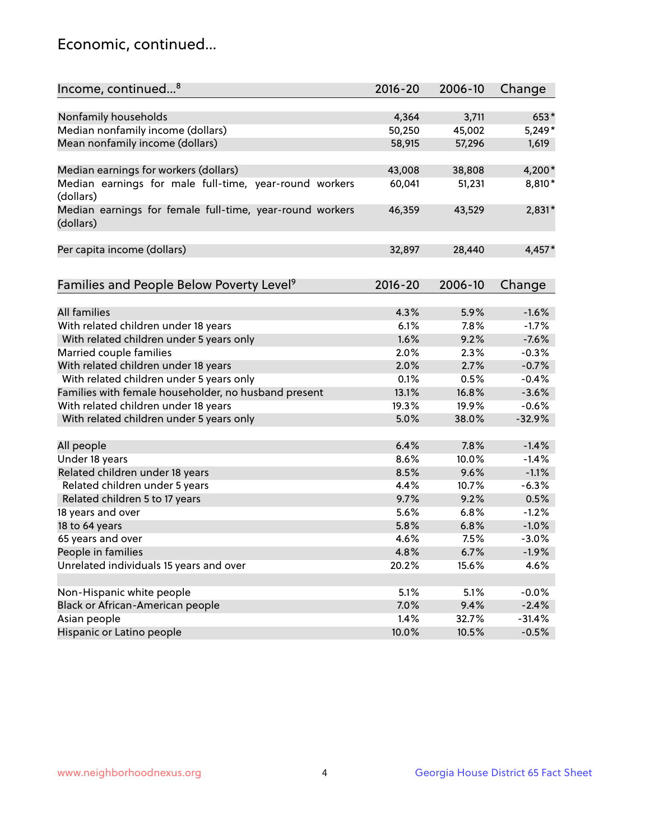## Economic, continued...

| Income, continued <sup>8</sup>                                        | $2016 - 20$ | 2006-10 | Change   |
|-----------------------------------------------------------------------|-------------|---------|----------|
|                                                                       |             |         |          |
| Nonfamily households                                                  | 4,364       | 3,711   | 653*     |
| Median nonfamily income (dollars)                                     | 50,250      | 45,002  | $5,249*$ |
| Mean nonfamily income (dollars)                                       | 58,915      | 57,296  | 1,619    |
| Median earnings for workers (dollars)                                 | 43,008      | 38,808  | 4,200*   |
| Median earnings for male full-time, year-round workers                | 60,041      | 51,231  | 8,810*   |
| (dollars)                                                             |             |         |          |
| Median earnings for female full-time, year-round workers<br>(dollars) | 46,359      | 43,529  | 2,831*   |
| Per capita income (dollars)                                           | 32,897      | 28,440  | $4,457*$ |
|                                                                       |             |         |          |
| Families and People Below Poverty Level <sup>9</sup>                  | 2016-20     | 2006-10 | Change   |
|                                                                       |             |         |          |
| <b>All families</b>                                                   | 4.3%        | 5.9%    | $-1.6%$  |
| With related children under 18 years                                  | 6.1%        | 7.8%    | $-1.7%$  |
| With related children under 5 years only                              | 1.6%        | 9.2%    | $-7.6%$  |
| Married couple families                                               | 2.0%        | 2.3%    | $-0.3%$  |
| With related children under 18 years                                  | 2.0%        | 2.7%    | $-0.7%$  |
| With related children under 5 years only                              | 0.1%        | 0.5%    | $-0.4%$  |
| Families with female householder, no husband present                  | 13.1%       | 16.8%   | $-3.6%$  |
| With related children under 18 years                                  | 19.3%       | 19.9%   | $-0.6%$  |
| With related children under 5 years only                              | 5.0%        | 38.0%   | $-32.9%$ |
| All people                                                            | 6.4%        | 7.8%    | $-1.4%$  |
| Under 18 years                                                        | 8.6%        | 10.0%   | $-1.4%$  |
| Related children under 18 years                                       | 8.5%        | 9.6%    | $-1.1%$  |
| Related children under 5 years                                        | 4.4%        | 10.7%   | $-6.3%$  |
| Related children 5 to 17 years                                        | 9.7%        | 9.2%    | 0.5%     |
| 18 years and over                                                     | 5.6%        | 6.8%    | $-1.2%$  |
| 18 to 64 years                                                        | 5.8%        | 6.8%    | $-1.0%$  |
| 65 years and over                                                     | 4.6%        | 7.5%    | $-3.0%$  |
|                                                                       |             |         |          |
| People in families<br>Unrelated individuals 15 years and over         | 4.8%        | 6.7%    | $-1.9%$  |
|                                                                       | 20.2%       | 15.6%   | 4.6%     |
| Non-Hispanic white people                                             | 5.1%        | 5.1%    | $-0.0%$  |
| Black or African-American people                                      | 7.0%        | 9.4%    | $-2.4%$  |
| Asian people                                                          | 1.4%        | 32.7%   | $-31.4%$ |
| Hispanic or Latino people                                             | 10.0%       | 10.5%   | $-0.5%$  |
|                                                                       |             |         |          |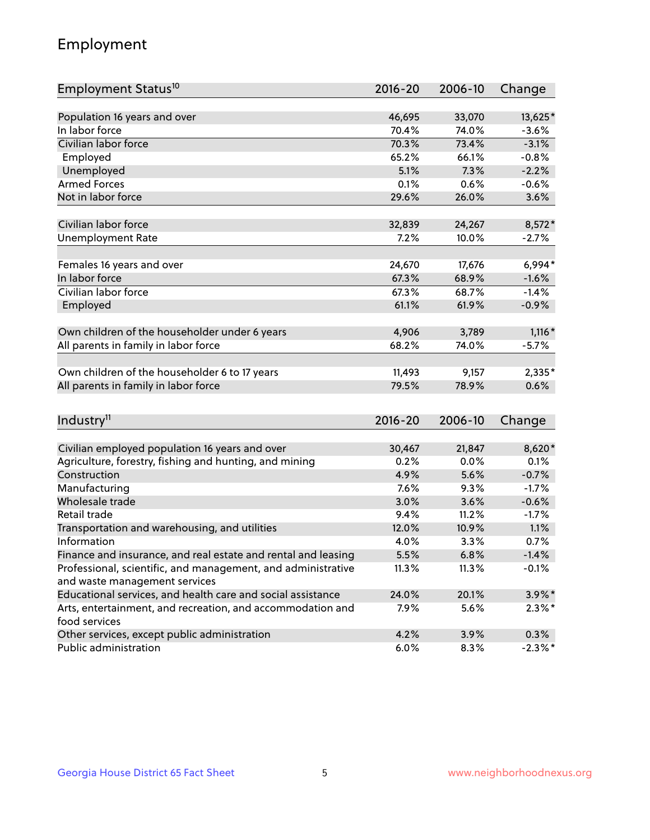## Employment

| Employment Status <sup>10</sup>                                                               | $2016 - 20$ | 2006-10 | Change     |
|-----------------------------------------------------------------------------------------------|-------------|---------|------------|
|                                                                                               |             |         |            |
| Population 16 years and over                                                                  | 46,695      | 33,070  | 13,625*    |
| In labor force                                                                                | 70.4%       | 74.0%   | $-3.6%$    |
| Civilian labor force                                                                          | 70.3%       | 73.4%   | $-3.1%$    |
| Employed                                                                                      | 65.2%       | 66.1%   | $-0.8%$    |
| Unemployed                                                                                    | 5.1%        | 7.3%    | $-2.2%$    |
| <b>Armed Forces</b>                                                                           | 0.1%        | 0.6%    | $-0.6%$    |
| Not in labor force                                                                            | 29.6%       | 26.0%   | 3.6%       |
| Civilian labor force                                                                          | 32,839      | 24,267  | $8,572*$   |
| <b>Unemployment Rate</b>                                                                      | 7.2%        | 10.0%   | $-2.7%$    |
|                                                                                               |             |         |            |
| Females 16 years and over                                                                     | 24,670      | 17,676  | $6,994*$   |
| In labor force                                                                                | 67.3%       | 68.9%   | $-1.6%$    |
| Civilian labor force                                                                          | 67.3%       | 68.7%   | $-1.4%$    |
| Employed                                                                                      | 61.1%       | 61.9%   | $-0.9%$    |
|                                                                                               |             |         |            |
| Own children of the householder under 6 years                                                 | 4,906       | 3,789   | $1,116*$   |
| All parents in family in labor force                                                          | 68.2%       | 74.0%   | $-5.7%$    |
| Own children of the householder 6 to 17 years                                                 | 11,493      | 9,157   | 2,335*     |
| All parents in family in labor force                                                          | 79.5%       | 78.9%   | 0.6%       |
|                                                                                               |             |         |            |
| Industry <sup>11</sup>                                                                        | $2016 - 20$ | 2006-10 | Change     |
|                                                                                               |             |         |            |
| Civilian employed population 16 years and over                                                | 30,467      | 21,847  | 8,620*     |
| Agriculture, forestry, fishing and hunting, and mining                                        | 0.2%        | 0.0%    | 0.1%       |
| Construction                                                                                  | 4.9%        | 5.6%    | $-0.7%$    |
| Manufacturing                                                                                 | 7.6%        | 9.3%    | $-1.7%$    |
| Wholesale trade                                                                               | 3.0%        | 3.6%    | $-0.6%$    |
| Retail trade                                                                                  | 9.4%        | 11.2%   | $-1.7%$    |
| Transportation and warehousing, and utilities                                                 | 12.0%       | 10.9%   | 1.1%       |
| Information                                                                                   | 4.0%        | 3.3%    | 0.7%       |
| Finance and insurance, and real estate and rental and leasing                                 | 5.5%        | 6.8%    | $-1.4%$    |
| Professional, scientific, and management, and administrative<br>and waste management services | 11.3%       | 11.3%   | $-0.1%$    |
| Educational services, and health care and social assistance                                   | 24.0%       | 20.1%   | $3.9\%$ *  |
| Arts, entertainment, and recreation, and accommodation and                                    | 7.9%        | 5.6%    | $2.3\%$ *  |
| food services                                                                                 |             |         |            |
| Other services, except public administration                                                  | 4.2%        | 3.9%    | 0.3%       |
| Public administration                                                                         | 6.0%        | 8.3%    | $-2.3\%$ * |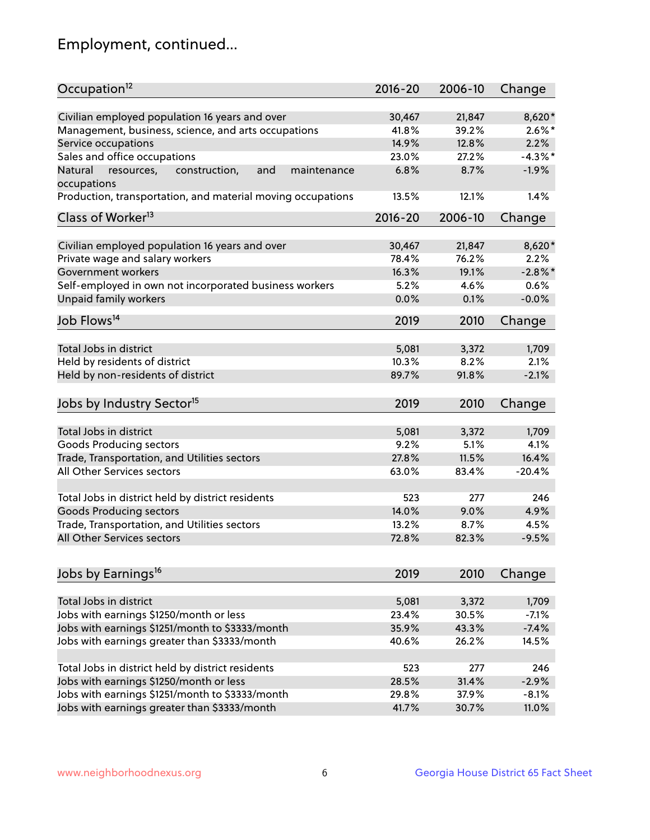## Employment, continued...

| Occupation <sup>12</sup>                                                   | $2016 - 20$    | 2006-10        | Change           |
|----------------------------------------------------------------------------|----------------|----------------|------------------|
| Civilian employed population 16 years and over                             | 30,467         | 21,847         | 8,620*           |
| Management, business, science, and arts occupations                        | 41.8%          | 39.2%          | $2.6\%$ *        |
| Service occupations                                                        | 14.9%          | 12.8%          | 2.2%             |
| Sales and office occupations                                               | 23.0%          | 27.2%          | $-4.3\%$ *       |
| and<br>Natural<br>maintenance                                              | 6.8%           | 8.7%           | $-1.9%$          |
| resources,<br>construction,<br>occupations                                 |                |                |                  |
| Production, transportation, and material moving occupations                | 13.5%          | 12.1%          | 1.4%             |
| Class of Worker <sup>13</sup>                                              | $2016 - 20$    | 2006-10        | Change           |
|                                                                            | 30,467         | 21,847         | 8,620*           |
| Civilian employed population 16 years and over                             | 78.4%          | 76.2%          | 2.2%             |
| Private wage and salary workers                                            |                |                |                  |
| Government workers                                                         | 16.3%          | 19.1%          | $-2.8%$          |
| Self-employed in own not incorporated business workers                     | 5.2%           | 4.6%           | 0.6%             |
| Unpaid family workers                                                      | 0.0%           | 0.1%           | $-0.0%$          |
| Job Flows <sup>14</sup>                                                    | 2019           | 2010           | Change           |
| Total Jobs in district                                                     |                |                |                  |
|                                                                            | 5,081          | 3,372<br>8.2%  | 1,709<br>2.1%    |
| Held by residents of district                                              | 10.3%          |                |                  |
| Held by non-residents of district                                          | 89.7%          | 91.8%          | $-2.1%$          |
| Jobs by Industry Sector <sup>15</sup>                                      | 2019           | 2010           | Change           |
| Total Jobs in district                                                     | 5,081          | 3,372          | 1,709            |
| Goods Producing sectors                                                    | 9.2%           | 5.1%           | 4.1%             |
|                                                                            | 27.8%          | 11.5%          | 16.4%            |
| Trade, Transportation, and Utilities sectors<br>All Other Services sectors | 63.0%          | 83.4%          | $-20.4%$         |
|                                                                            |                |                |                  |
| Total Jobs in district held by district residents                          | 523            | 277            | 246              |
| <b>Goods Producing sectors</b>                                             | 14.0%          | 9.0%           | 4.9%             |
| Trade, Transportation, and Utilities sectors                               | 13.2%          | 8.7%           | 4.5%             |
| All Other Services sectors                                                 | 72.8%          | 82.3%          | $-9.5%$          |
|                                                                            |                |                |                  |
| Jobs by Earnings <sup>16</sup>                                             | 2019           | 2010           | Change           |
|                                                                            |                |                |                  |
| Total Jobs in district                                                     | 5,081<br>23.4% | 3,372<br>30.5% | 1,709<br>$-7.1%$ |
| Jobs with earnings \$1250/month or less                                    |                |                |                  |
| Jobs with earnings \$1251/month to \$3333/month                            | 35.9%          | 43.3%          | $-7.4%$          |
| Jobs with earnings greater than \$3333/month                               | 40.6%          | 26.2%          | 14.5%            |
| Total Jobs in district held by district residents                          | 523            | 277            | 246              |
| Jobs with earnings \$1250/month or less                                    | 28.5%          | 31.4%          | $-2.9%$          |
| Jobs with earnings \$1251/month to \$3333/month                            | 29.8%          | 37.9%          | $-8.1%$          |
| Jobs with earnings greater than \$3333/month                               | 41.7%          | 30.7%          | 11.0%            |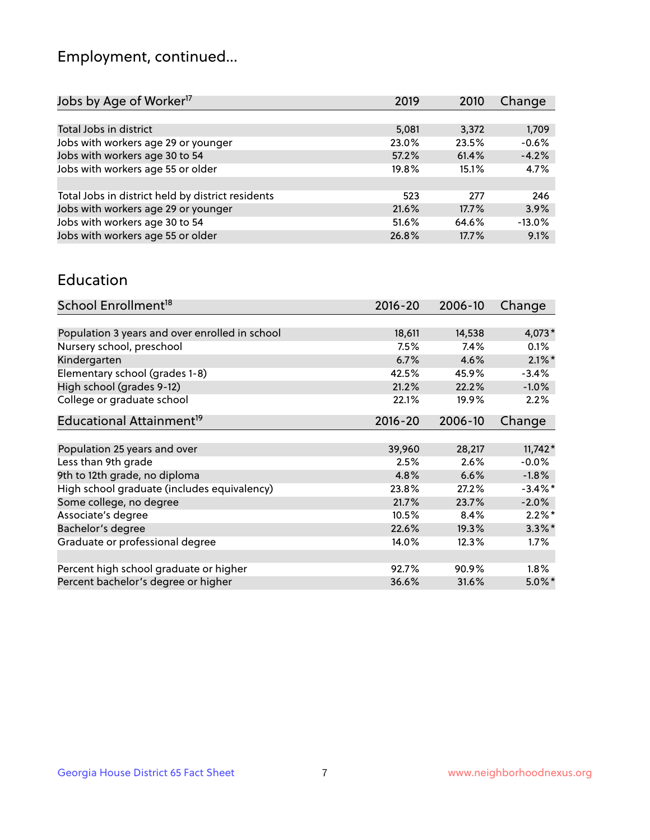## Employment, continued...

| Jobs by Age of Worker <sup>17</sup>               | 2019  | 2010  | Change   |
|---------------------------------------------------|-------|-------|----------|
|                                                   |       |       |          |
| Total Jobs in district                            | 5,081 | 3,372 | 1,709    |
| Jobs with workers age 29 or younger               | 23.0% | 23.5% | $-0.6%$  |
| Jobs with workers age 30 to 54                    | 57.2% | 61.4% | $-4.2%$  |
| Jobs with workers age 55 or older                 | 19.8% | 15.1% | 4.7%     |
|                                                   |       |       |          |
| Total Jobs in district held by district residents | 523   | 277   | 246      |
| Jobs with workers age 29 or younger               | 21.6% | 17.7% | 3.9%     |
| Jobs with workers age 30 to 54                    | 51.6% | 64.6% | $-13.0%$ |
| Jobs with workers age 55 or older                 | 26.8% | 17.7% | 9.1%     |
|                                                   |       |       |          |

#### Education

| School Enrollment <sup>18</sup>                | $2016 - 20$ | 2006-10 | Change     |
|------------------------------------------------|-------------|---------|------------|
|                                                |             |         |            |
| Population 3 years and over enrolled in school | 18,611      | 14,538  | $4,073*$   |
| Nursery school, preschool                      | 7.5%        | 7.4%    | $0.1\%$    |
| Kindergarten                                   | 6.7%        | 4.6%    | $2.1\%$ *  |
| Elementary school (grades 1-8)                 | 42.5%       | 45.9%   | $-3.4%$    |
| High school (grades 9-12)                      | 21.2%       | 22.2%   | $-1.0%$    |
| College or graduate school                     | 22.1%       | 19.9%   | 2.2%       |
| Educational Attainment <sup>19</sup>           | $2016 - 20$ | 2006-10 | Change     |
|                                                |             |         |            |
| Population 25 years and over                   | 39,960      | 28,217  | $11,742*$  |
| Less than 9th grade                            | 2.5%        | 2.6%    | $-0.0%$    |
| 9th to 12th grade, no diploma                  | 4.8%        | 6.6%    | $-1.8\%$   |
| High school graduate (includes equivalency)    | 23.8%       | 27.2%   | $-3.4\%$ * |
| Some college, no degree                        | 21.7%       | 23.7%   | $-2.0%$    |
| Associate's degree                             | 10.5%       | 8.4%    | $2.2\%$ *  |
| Bachelor's degree                              | 22.6%       | 19.3%   | $3.3\%$ *  |
| Graduate or professional degree                | 14.0%       | 12.3%   | $1.7\%$    |
|                                                |             |         |            |
| Percent high school graduate or higher         | 92.7%       | 90.9%   | 1.8%       |
| Percent bachelor's degree or higher            | 36.6%       | 31.6%   | $5.0\%$ *  |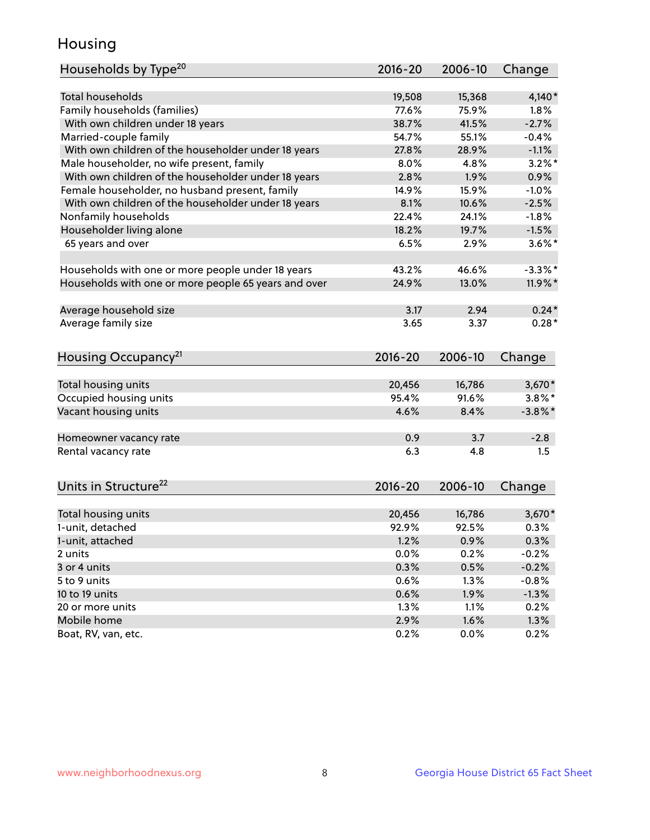## Housing

| Households by Type <sup>20</sup>                     | 2016-20      | 2006-10      | Change       |
|------------------------------------------------------|--------------|--------------|--------------|
|                                                      |              |              |              |
| <b>Total households</b>                              | 19,508       | 15,368       | $4,140*$     |
| Family households (families)                         | 77.6%        | 75.9%        | 1.8%         |
| With own children under 18 years                     | 38.7%        | 41.5%        | $-2.7%$      |
| Married-couple family                                | 54.7%        | 55.1%        | $-0.4%$      |
| With own children of the householder under 18 years  | 27.8%        | 28.9%        | $-1.1%$      |
| Male householder, no wife present, family            | 8.0%         | 4.8%         | $3.2\%$ *    |
| With own children of the householder under 18 years  | 2.8%         | 1.9%         | 0.9%         |
| Female householder, no husband present, family       | 14.9%        | 15.9%        | $-1.0%$      |
| With own children of the householder under 18 years  | 8.1%         | 10.6%        | $-2.5%$      |
| Nonfamily households                                 | 22.4%        | 24.1%        | $-1.8%$      |
| Householder living alone                             | 18.2%        | 19.7%        | $-1.5%$      |
| 65 years and over                                    | 6.5%         | 2.9%         | $3.6\%$ *    |
|                                                      |              |              |              |
| Households with one or more people under 18 years    | 43.2%        | 46.6%        | $-3.3\%$ *   |
| Households with one or more people 65 years and over | 24.9%        | 13.0%        | 11.9%*       |
|                                                      |              |              |              |
| Average household size                               | 3.17         | 2.94         | $0.24*$      |
| Average family size                                  | 3.65         | 3.37         | $0.28*$      |
|                                                      |              |              |              |
| Housing Occupancy <sup>21</sup>                      | $2016 - 20$  | 2006-10      | Change       |
|                                                      |              |              |              |
| Total housing units                                  | 20,456       | 16,786       | $3,670*$     |
| Occupied housing units                               | 95.4%        | 91.6%        | $3.8\%$ *    |
| Vacant housing units                                 | 4.6%         | 8.4%         | $-3.8\%$ *   |
| Homeowner vacancy rate                               | 0.9          | 3.7          | $-2.8$       |
| Rental vacancy rate                                  | 6.3          | 4.8          | 1.5          |
|                                                      |              |              |              |
| Units in Structure <sup>22</sup>                     | $2016 - 20$  | 2006-10      | Change       |
|                                                      |              |              |              |
| Total housing units                                  | 20,456       | 16,786       | $3,670*$     |
| 1-unit, detached                                     | 92.9%        | 92.5%        | 0.3%         |
| 1-unit, attached                                     | 1.2%         | 0.9%         | 0.3%         |
| 2 units                                              | 0.0%         | 0.2%         | $-0.2%$      |
| 3 or 4 units                                         | 0.3%         | 0.5%         | $-0.2%$      |
| 5 to 9 units                                         | $0.6\%$      | 1.3%         | $-0.8%$      |
|                                                      |              |              |              |
|                                                      |              |              |              |
| 10 to 19 units                                       | 0.6%         | 1.9%         | $-1.3\%$     |
| 20 or more units<br>Mobile home                      | 1.3%<br>2.9% | 1.1%<br>1.6% | 0.2%<br>1.3% |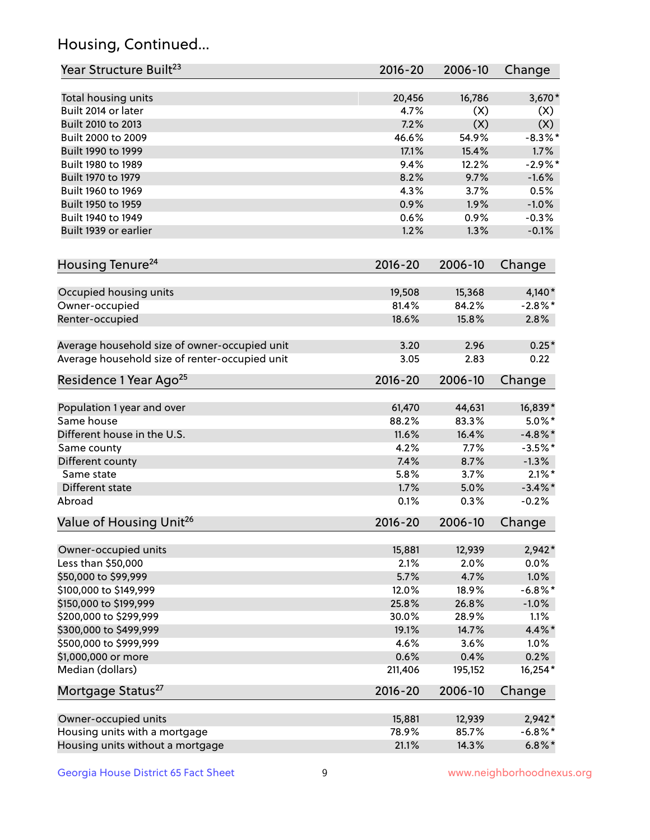## Housing, Continued...

| Year Structure Built <sup>23</sup>             | 2016-20     | 2006-10 | Change     |
|------------------------------------------------|-------------|---------|------------|
| Total housing units                            | 20,456      | 16,786  | $3,670*$   |
| Built 2014 or later                            | 4.7%        | (X)     | (X)        |
| Built 2010 to 2013                             | 7.2%        | (X)     | (X)        |
| Built 2000 to 2009                             | 46.6%       | 54.9%   | $-8.3\%$ * |
| Built 1990 to 1999                             | 17.1%       | 15.4%   | 1.7%       |
| Built 1980 to 1989                             | 9.4%        | 12.2%   | $-2.9%$ *  |
| Built 1970 to 1979                             | 8.2%        | 9.7%    | $-1.6%$    |
| Built 1960 to 1969                             | 4.3%        | 3.7%    | 0.5%       |
| Built 1950 to 1959                             | 0.9%        | 1.9%    | $-1.0%$    |
| Built 1940 to 1949                             | 0.6%        | 0.9%    | $-0.3%$    |
| Built 1939 or earlier                          | 1.2%        | 1.3%    | $-0.1%$    |
| Housing Tenure <sup>24</sup>                   | $2016 - 20$ | 2006-10 | Change     |
| Occupied housing units                         | 19,508      | 15,368  | $4,140*$   |
| Owner-occupied                                 | 81.4%       | 84.2%   | $-2.8\%$ * |
| Renter-occupied                                | 18.6%       | 15.8%   | 2.8%       |
| Average household size of owner-occupied unit  | 3.20        | 2.96    | $0.25*$    |
| Average household size of renter-occupied unit | 3.05        | 2.83    | 0.22       |
| Residence 1 Year Ago <sup>25</sup>             | $2016 - 20$ | 2006-10 | Change     |
| Population 1 year and over                     | 61,470      | 44,631  | 16,839*    |
| Same house                                     | 88.2%       | 83.3%   | $5.0\%$ *  |
| Different house in the U.S.                    | 11.6%       | 16.4%   | $-4.8\%$ * |
| Same county                                    | 4.2%        | 7.7%    | $-3.5%$ *  |
| Different county                               | 7.4%        | 8.7%    | $-1.3%$    |
| Same state                                     | 5.8%        | 3.7%    | $2.1\%$ *  |
| Different state                                | 1.7%        | 5.0%    | $-3.4\%$ * |
| Abroad                                         | 0.1%        | 0.3%    | $-0.2%$    |
| Value of Housing Unit <sup>26</sup>            | $2016 - 20$ | 2006-10 | Change     |
| Owner-occupied units                           | 15,881      | 12,939  | $2,942*$   |
| Less than \$50,000                             | 2.1%        | 2.0%    | 0.0%       |
| \$50,000 to \$99,999                           | 5.7%        | 4.7%    | 1.0%       |
| \$100,000 to \$149,999                         | 12.0%       | 18.9%   | $-6.8\%$ * |
| \$150,000 to \$199,999                         | 25.8%       | 26.8%   | $-1.0\%$   |
| \$200,000 to \$299,999                         | 30.0%       | 28.9%   | 1.1%       |
| \$300,000 to \$499,999                         | 19.1%       | 14.7%   | 4.4%*      |
| \$500,000 to \$999,999                         | 4.6%        | 3.6%    | 1.0%       |
| \$1,000,000 or more                            | 0.6%        | 0.4%    | 0.2%       |
| Median (dollars)                               | 211,406     | 195,152 | 16,254*    |
| Mortgage Status <sup>27</sup>                  | $2016 - 20$ | 2006-10 | Change     |
| Owner-occupied units                           | 15,881      | 12,939  | $2,942*$   |
| Housing units with a mortgage                  | 78.9%       | 85.7%   | $-6.8\%$ * |
| Housing units without a mortgage               | 21.1%       | 14.3%   | $6.8\%$ *  |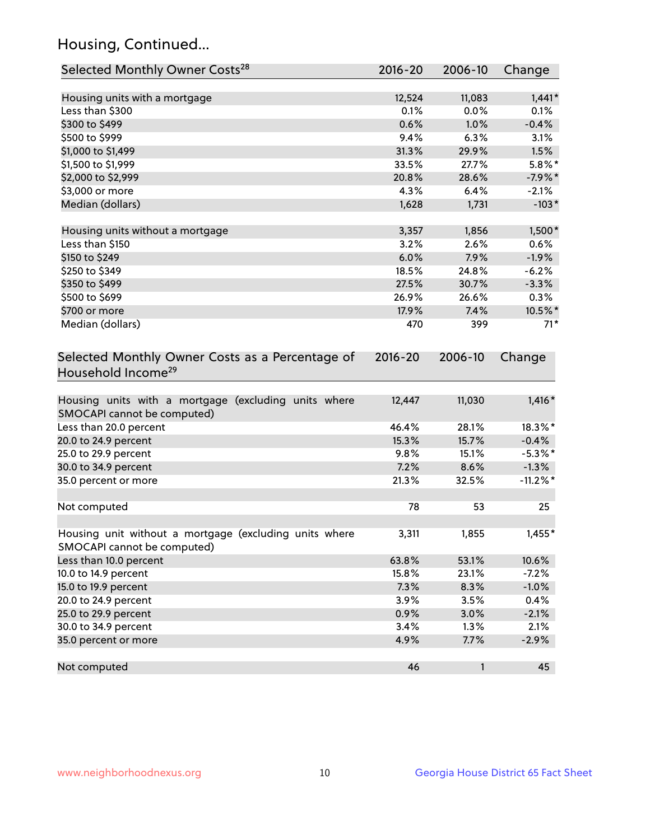## Housing, Continued...

| Selected Monthly Owner Costs <sup>28</sup>                                            | $2016 - 20$ | 2006-10 | Change      |
|---------------------------------------------------------------------------------------|-------------|---------|-------------|
| Housing units with a mortgage                                                         | 12,524      | 11,083  | $1,441*$    |
| Less than \$300                                                                       | 0.1%        | 0.0%    | 0.1%        |
| \$300 to \$499                                                                        | 0.6%        | 1.0%    | $-0.4%$     |
| \$500 to \$999                                                                        | 9.4%        | 6.3%    | 3.1%        |
| \$1,000 to \$1,499                                                                    | 31.3%       | 29.9%   | 1.5%        |
| \$1,500 to \$1,999                                                                    | 33.5%       | 27.7%   | $5.8\%$ *   |
| \$2,000 to \$2,999                                                                    | 20.8%       | 28.6%   | $-7.9%$ *   |
| \$3,000 or more                                                                       | 4.3%        | 6.4%    | $-2.1%$     |
| Median (dollars)                                                                      | 1,628       | 1,731   | $-103*$     |
| Housing units without a mortgage                                                      | 3,357       | 1,856   | $1,500*$    |
| Less than \$150                                                                       | 3.2%        | 2.6%    | 0.6%        |
| \$150 to \$249                                                                        | 6.0%        | 7.9%    | $-1.9%$     |
| \$250 to \$349                                                                        | 18.5%       | 24.8%   | $-6.2%$     |
| \$350 to \$499                                                                        | 27.5%       | 30.7%   | $-3.3%$     |
| \$500 to \$699                                                                        | 26.9%       | 26.6%   | 0.3%        |
| \$700 or more                                                                         | 17.9%       | 7.4%    | 10.5%*      |
| Median (dollars)                                                                      | 470         | 399     | $71*$       |
| Selected Monthly Owner Costs as a Percentage of<br>Household Income <sup>29</sup>     | $2016 - 20$ | 2006-10 | Change      |
| Housing units with a mortgage (excluding units where<br>SMOCAPI cannot be computed)   | 12,447      | 11,030  | $1,416*$    |
| Less than 20.0 percent                                                                | 46.4%       | 28.1%   | 18.3%*      |
| 20.0 to 24.9 percent                                                                  | 15.3%       | 15.7%   | $-0.4%$     |
| 25.0 to 29.9 percent                                                                  | 9.8%        | 15.1%   | $-5.3\%$ *  |
| 30.0 to 34.9 percent                                                                  | 7.2%        | 8.6%    | $-1.3%$     |
| 35.0 percent or more                                                                  | 21.3%       | 32.5%   | $-11.2\%$ * |
| Not computed                                                                          | 78          | 53      | 25          |
| Housing unit without a mortgage (excluding units where<br>SMOCAPI cannot be computed) | 3,311       | 1,855   | $1,455*$    |
| Less than 10.0 percent                                                                | 63.8%       | 53.1%   | 10.6%       |
| 10.0 to 14.9 percent                                                                  | 15.8%       | 23.1%   | $-7.2%$     |
| 15.0 to 19.9 percent                                                                  | 7.3%        | 8.3%    | $-1.0%$     |
| 20.0 to 24.9 percent                                                                  | 3.9%        | 3.5%    | 0.4%        |
| 25.0 to 29.9 percent                                                                  | 0.9%        | 3.0%    | $-2.1%$     |
| 30.0 to 34.9 percent                                                                  | 3.4%        | 1.3%    | 2.1%        |
| 35.0 percent or more                                                                  | 4.9%        | 7.7%    | $-2.9%$     |
| Not computed                                                                          | 46          | 1       | 45          |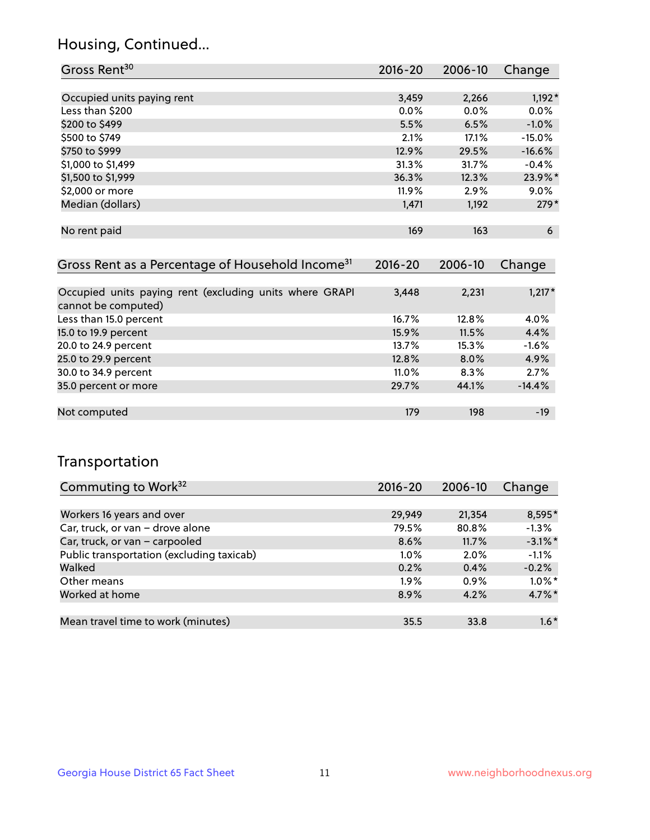## Housing, Continued...

| Gross Rent <sup>30</sup>   | 2016-20 | 2006-10 | Change   |
|----------------------------|---------|---------|----------|
|                            |         |         |          |
| Occupied units paying rent | 3,459   | 2,266   | $1,192*$ |
| Less than \$200            | 0.0%    | 0.0%    | 0.0%     |
| \$200 to \$499             | 5.5%    | 6.5%    | $-1.0%$  |
| \$500 to \$749             | 2.1%    | 17.1%   | $-15.0%$ |
| \$750 to \$999             | 12.9%   | 29.5%   | $-16.6%$ |
| \$1,000 to \$1,499         | 31.3%   | 31.7%   | $-0.4%$  |
| \$1,500 to \$1,999         | 36.3%   | 12.3%   | 23.9%*   |
| \$2,000 or more            | 11.9%   | 2.9%    | 9.0%     |
| Median (dollars)           | 1,471   | 1,192   | $279*$   |
|                            |         |         |          |
| No rent paid               | 169     | 163     | 6        |

| Gross Rent as a Percentage of Household Income <sup>31</sup>                   | $2016 - 20$ | 2006-10 | Change   |
|--------------------------------------------------------------------------------|-------------|---------|----------|
|                                                                                |             |         |          |
| Occupied units paying rent (excluding units where GRAPI<br>cannot be computed) | 3,448       | 2,231   | $1,217*$ |
| Less than 15.0 percent                                                         | 16.7%       | 12.8%   | 4.0%     |
| 15.0 to 19.9 percent                                                           | 15.9%       | 11.5%   | 4.4%     |
| 20.0 to 24.9 percent                                                           | 13.7%       | 15.3%   | $-1.6%$  |
| 25.0 to 29.9 percent                                                           | 12.8%       | 8.0%    | 4.9%     |
| 30.0 to 34.9 percent                                                           | $11.0\%$    | 8.3%    | 2.7%     |
| 35.0 percent or more                                                           | 29.7%       | 44.1%   | $-14.4%$ |
| Not computed                                                                   | 179         | 198     | -19      |

## Transportation

| Commuting to Work <sup>32</sup>           | 2016-20 | 2006-10 | Change     |
|-------------------------------------------|---------|---------|------------|
|                                           |         |         |            |
| Workers 16 years and over                 | 29,949  | 21,354  | 8,595*     |
| Car, truck, or van - drove alone          | 79.5%   | 80.8%   | $-1.3%$    |
| Car, truck, or van - carpooled            | 8.6%    | 11.7%   | $-3.1\%$ * |
| Public transportation (excluding taxicab) | $1.0\%$ | $2.0\%$ | $-1.1%$    |
| Walked                                    | 0.2%    | 0.4%    | $-0.2%$    |
| Other means                               | $1.9\%$ | $0.9\%$ | $1.0\%$ *  |
| Worked at home                            | 8.9%    | 4.2%    | $4.7\%$ *  |
|                                           |         |         |            |
| Mean travel time to work (minutes)        | 35.5    | 33.8    | $1.6*$     |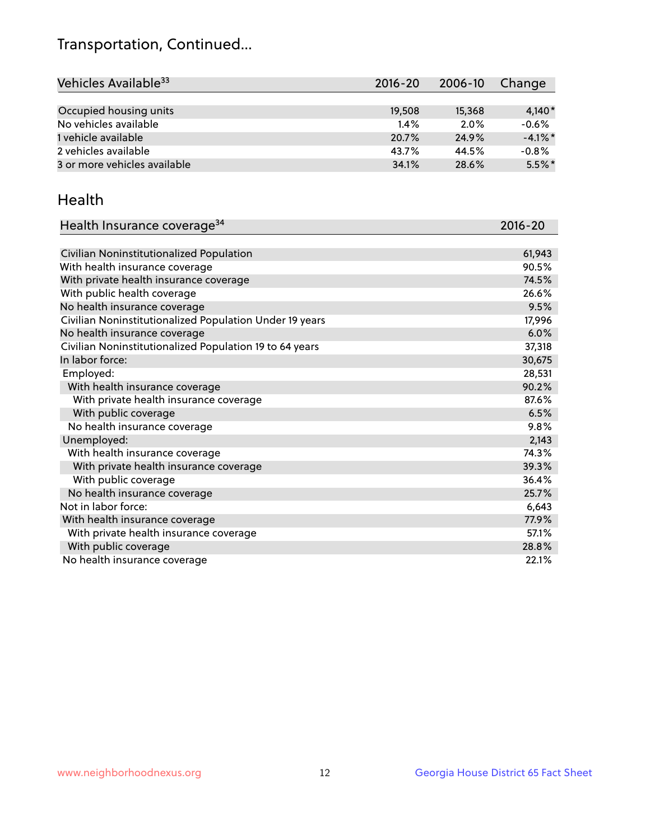## Transportation, Continued...

| Vehicles Available <sup>33</sup> | $2016 - 20$ | 2006-10 | Change     |
|----------------------------------|-------------|---------|------------|
|                                  |             |         |            |
| Occupied housing units           | 19,508      | 15,368  | $4,140*$   |
| No vehicles available            | 1.4%        | 2.0%    | $-0.6%$    |
| 1 vehicle available              | 20.7%       | 24.9%   | $-4.1\%$ * |
| 2 vehicles available             | 43.7%       | 44.5%   | $-0.8%$    |
| 3 or more vehicles available     | 34.1%       | 28.6%   | $5.5\%$ *  |

#### Health

| Health Insurance coverage <sup>34</sup>                 | 2016-20 |
|---------------------------------------------------------|---------|
|                                                         |         |
| Civilian Noninstitutionalized Population                | 61,943  |
| With health insurance coverage                          | 90.5%   |
| With private health insurance coverage                  | 74.5%   |
| With public health coverage                             | 26.6%   |
| No health insurance coverage                            | 9.5%    |
| Civilian Noninstitutionalized Population Under 19 years | 17,996  |
| No health insurance coverage                            | 6.0%    |
| Civilian Noninstitutionalized Population 19 to 64 years | 37,318  |
| In labor force:                                         | 30,675  |
| Employed:                                               | 28,531  |
| With health insurance coverage                          | 90.2%   |
| With private health insurance coverage                  | 87.6%   |
| With public coverage                                    | 6.5%    |
| No health insurance coverage                            | 9.8%    |
| Unemployed:                                             | 2,143   |
| With health insurance coverage                          | 74.3%   |
| With private health insurance coverage                  | 39.3%   |
| With public coverage                                    | 36.4%   |
| No health insurance coverage                            | 25.7%   |
| Not in labor force:                                     | 6,643   |
| With health insurance coverage                          | 77.9%   |
| With private health insurance coverage                  | 57.1%   |
| With public coverage                                    | 28.8%   |
| No health insurance coverage                            | 22.1%   |